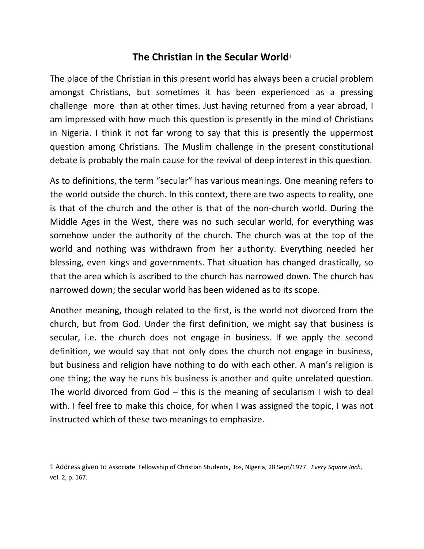## **The Christian in the Secular World**<sup>[1](#page-0-0)</sup>

The place of the Christian in this present world has always been a crucial problem amongst Christians, but sometimes it has been experienced as a pressing challenge more than at other times. Just having returned from a year abroad, I am impressed with how much this question is presently in the mind of Christians in Nigeria. I think it not far wrong to say that this is presently the uppermost question among Christians. The Muslim challenge in the present constitutional debate is probably the main cause for the revival of deep interest in this question.

As to definitions, the term "secular" has various meanings. One meaning refers to the world outside the church. In this context, there are two aspects to reality, one is that of the church and the other is that of the non-church world. During the Middle Ages in the West, there was no such secular world, for everything was somehow under the authority of the church. The church was at the top of the world and nothing was withdrawn from her authority. Everything needed her blessing, even kings and governments. That situation has changed drastically, so that the area which is ascribed to the church has narrowed down. The church has narrowed down; the secular world has been widened as to its scope.

Another meaning, though related to the first, is the world not divorced from the church, but from God. Under the first definition, we might say that business is secular, i.e. the church does not engage in business. If we apply the second definition, we would say that not only does the church not engage in business, but business and religion have nothing to do with each other. A man's religion is one thing; the way he runs his business is another and quite unrelated question. The world divorced from God – this is the meaning of secularism I wish to deal with. I feel free to make this choice, for when I was assigned the topic, I was not instructed which of these two meanings to emphasize.

<span id="page-0-0"></span><sup>1</sup> Address given to Associate Fellowship of Christian Students, Jos, Nigeria, 28 Sept/1977. *Every Square Inch,*  vol. 2, p. 167.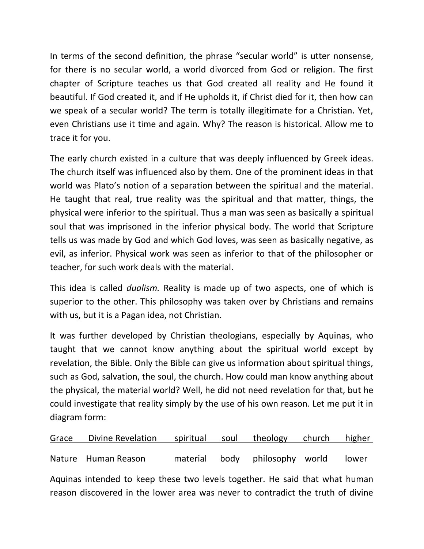In terms of the second definition, the phrase "secular world" is utter nonsense, for there is no secular world, a world divorced from God or religion. The first chapter of Scripture teaches us that God created all reality and He found it beautiful. If God created it, and if He upholds it, if Christ died for it, then how can we speak of a secular world? The term is totally illegitimate for a Christian. Yet, even Christians use it time and again. Why? The reason is historical. Allow me to trace it for you.

The early church existed in a culture that was deeply influenced by Greek ideas. The church itself was influenced also by them. One of the prominent ideas in that world was Plato's notion of a separation between the spiritual and the material. He taught that real, true reality was the spiritual and that matter, things, the physical were inferior to the spiritual. Thus a man was seen as basically a spiritual soul that was imprisoned in the inferior physical body. The world that Scripture tells us was made by God and which God loves, was seen as basically negative, as evil, as inferior. Physical work was seen as inferior to that of the philosopher or teacher, for such work deals with the material.

This idea is called *dualism.* Reality is made up of two aspects, one of which is superior to the other. This philosophy was taken over by Christians and remains with us, but it is a Pagan idea, not Christian.

It was further developed by Christian theologians, especially by Aquinas, who taught that we cannot know anything about the spiritual world except by revelation, the Bible. Only the Bible can give us information about spiritual things, such as God, salvation, the soul, the church. How could man know anything about the physical, the material world? Well, he did not need revelation for that, but he could investigate that reality simply by the use of his own reason. Let me put it in diagram form:

|                                                                                 | Grace Divine Revelation spiritual soul theology church higher |  |  |                                |  |       |
|---------------------------------------------------------------------------------|---------------------------------------------------------------|--|--|--------------------------------|--|-------|
|                                                                                 | Nature Human Reason                                           |  |  | material body philosophy world |  | lower |
| Aquinas intended to keep these two levels together. He said that what human     |                                                               |  |  |                                |  |       |
| reason discovered in the lower area was never to contradict the truth of divine |                                                               |  |  |                                |  |       |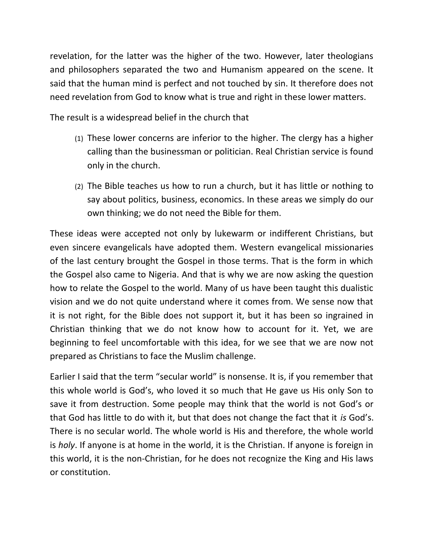revelation, for the latter was the higher of the two. However, later theologians and philosophers separated the two and Humanism appeared on the scene. It said that the human mind is perfect and not touched by sin. It therefore does not need revelation from God to know what is true and right in these lower matters.

The result is a widespread belief in the church that

- (1) These lower concerns are inferior to the higher. The clergy has a higher calling than the businessman or politician. Real Christian service is found only in the church.
- (2) The Bible teaches us how to run a church, but it has little or nothing to say about politics, business, economics. In these areas we simply do our own thinking; we do not need the Bible for them.

These ideas were accepted not only by lukewarm or indifferent Christians, but even sincere evangelicals have adopted them. Western evangelical missionaries of the last century brought the Gospel in those terms. That is the form in which the Gospel also came to Nigeria. And that is why we are now asking the question how to relate the Gospel to the world. Many of us have been taught this dualistic vision and we do not quite understand where it comes from. We sense now that it is not right, for the Bible does not support it, but it has been so ingrained in Christian thinking that we do not know how to account for it. Yet, we are beginning to feel uncomfortable with this idea, for we see that we are now not prepared as Christians to face the Muslim challenge.

Earlier I said that the term "secular world" is nonsense. It is, if you remember that this whole world is God's, who loved it so much that He gave us His only Son to save it from destruction. Some people may think that the world is not God's or that God has little to do with it, but that does not change the fact that it *is* God's. There is no secular world. The whole world is His and therefore, the whole world is *holy*. If anyone is at home in the world, it is the Christian. If anyone is foreign in this world, it is the non-Christian, for he does not recognize the King and His laws or constitution.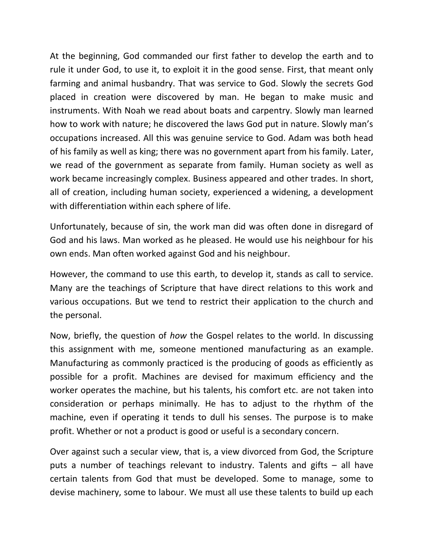At the beginning, God commanded our first father to develop the earth and to rule it under God, to use it, to exploit it in the good sense. First, that meant only farming and animal husbandry. That was service to God. Slowly the secrets God placed in creation were discovered by man. He began to make music and instruments. With Noah we read about boats and carpentry. Slowly man learned how to work with nature; he discovered the laws God put in nature. Slowly man's occupations increased. All this was genuine service to God. Adam was both head of his family as well as king; there was no government apart from his family. Later, we read of the government as separate from family. Human society as well as work became increasingly complex. Business appeared and other trades. In short, all of creation, including human society, experienced a widening, a development with differentiation within each sphere of life.

Unfortunately, because of sin, the work man did was often done in disregard of God and his laws. Man worked as he pleased. He would use his neighbour for his own ends. Man often worked against God and his neighbour.

However, the command to use this earth, to develop it, stands as call to service. Many are the teachings of Scripture that have direct relations to this work and various occupations. But we tend to restrict their application to the church and the personal.

Now, briefly, the question of *how* the Gospel relates to the world. In discussing this assignment with me, someone mentioned manufacturing as an example. Manufacturing as commonly practiced is the producing of goods as efficiently as possible for a profit. Machines are devised for maximum efficiency and the worker operates the machine, but his talents, his comfort etc. are not taken into consideration or perhaps minimally. He has to adjust to the rhythm of the machine, even if operating it tends to dull his senses. The purpose is to make profit. Whether or not a product is good or useful is a secondary concern.

Over against such a secular view, that is, a view divorced from God, the Scripture puts a number of teachings relevant to industry. Talents and gifts – all have certain talents from God that must be developed. Some to manage, some to devise machinery, some to labour. We must all use these talents to build up each